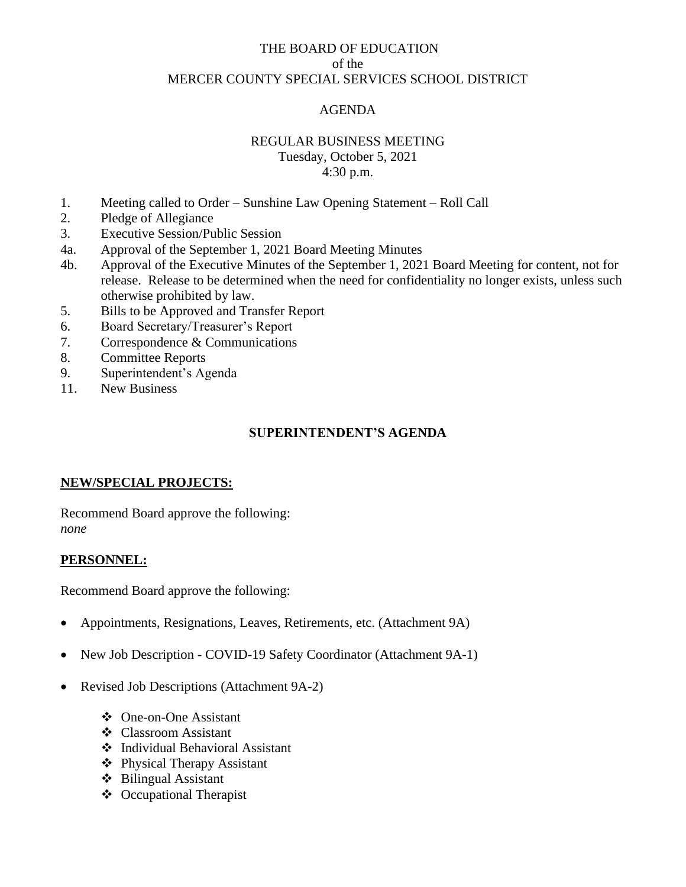## THE BOARD OF EDUCATION of the MERCER COUNTY SPECIAL SERVICES SCHOOL DISTRICT

## AGENDA

#### REGULAR BUSINESS MEETING

Tuesday, October 5, 2021 4:30 p.m.

- 1. Meeting called to Order Sunshine Law Opening Statement Roll Call
- 2. Pledge of Allegiance
- 3. Executive Session/Public Session
- 4a. Approval of the September 1, 2021 Board Meeting Minutes
- 4b. Approval of the Executive Minutes of the September 1, 2021 Board Meeting for content, not for release. Release to be determined when the need for confidentiality no longer exists, unless such otherwise prohibited by law.
- 5. Bills to be Approved and Transfer Report
- 6. Board Secretary/Treasurer's Report
- 7. Correspondence & Communications
- 8. Committee Reports
- 9. Superintendent's Agenda
- 11. New Business

#### **SUPERINTENDENT'S AGENDA**

#### **NEW/SPECIAL PROJECTS:**

Recommend Board approve the following: *none*

### **PERSONNEL:**

Recommend Board approve the following:

- Appointments, Resignations, Leaves, Retirements, etc. (Attachment 9A)
- New Job Description COVID-19 Safety Coordinator (Attachment 9A-1)
- Revised Job Descriptions (Attachment 9A-2)
	- ❖ One-on-One Assistant
	- ❖ Classroom Assistant
	- ❖ Individual Behavioral Assistant
	- ❖ Physical Therapy Assistant
	- ❖ Bilingual Assistant
	- ❖ Occupational Therapist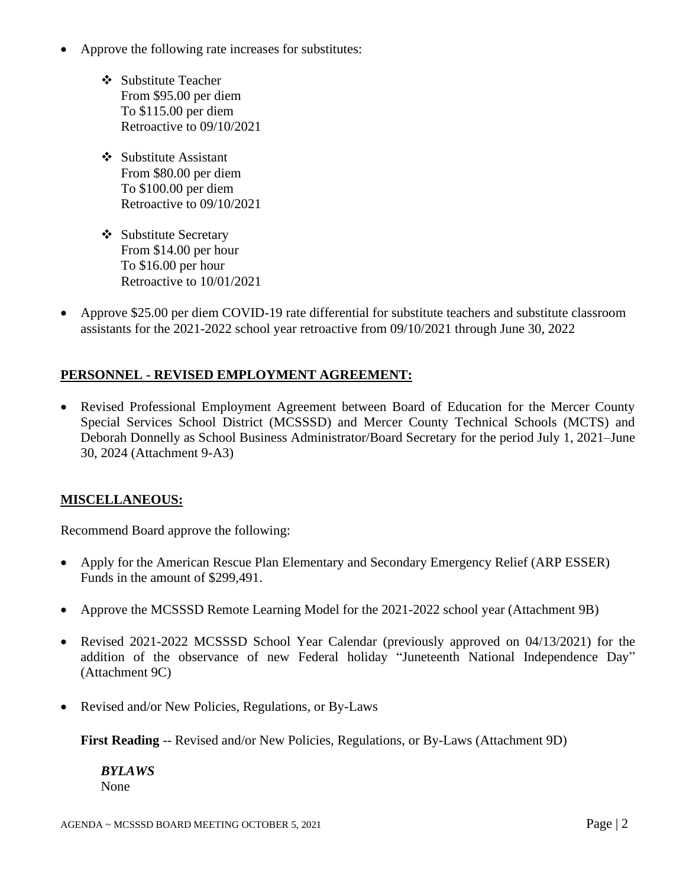- Approve the following rate increases for substitutes:
	- ❖ Substitute Teacher From \$95.00 per diem To \$115.00 per diem Retroactive to 09/10/2021
	- ❖ Substitute Assistant From \$80.00 per diem To \$100.00 per diem Retroactive to 09/10/2021
	- ❖ Substitute Secretary From \$14.00 per hour To \$16.00 per hour Retroactive to 10/01/2021
- Approve \$25.00 per diem COVID-19 rate differential for substitute teachers and substitute classroom assistants for the 2021-2022 school year retroactive from 09/10/2021 through June 30, 2022

# **PERSONNEL - REVISED EMPLOYMENT AGREEMENT:**

• Revised Professional Employment Agreement between Board of Education for the Mercer County Special Services School District (MCSSSD) and Mercer County Technical Schools (MCTS) and Deborah Donnelly as School Business Administrator/Board Secretary for the period July 1, 2021–June 30, 2024 (Attachment 9-A3)

## **MISCELLANEOUS:**

Recommend Board approve the following:

- Apply for the American Rescue Plan Elementary and Secondary Emergency Relief (ARP ESSER) Funds in the amount of \$299,491.
- Approve the MCSSSD Remote Learning Model for the 2021-2022 school year (Attachment 9B)
- Revised 2021-2022 MCSSSD School Year Calendar (previously approved on 04/13/2021) for the addition of the observance of new Federal holiday "Juneteenth National Independence Day" (Attachment 9C)
- Revised and/or New Policies, Regulations, or By-Laws

**First Reading** -- Revised and/or New Policies, Regulations, or By-Laws (Attachment 9D)

*BYLAWS* None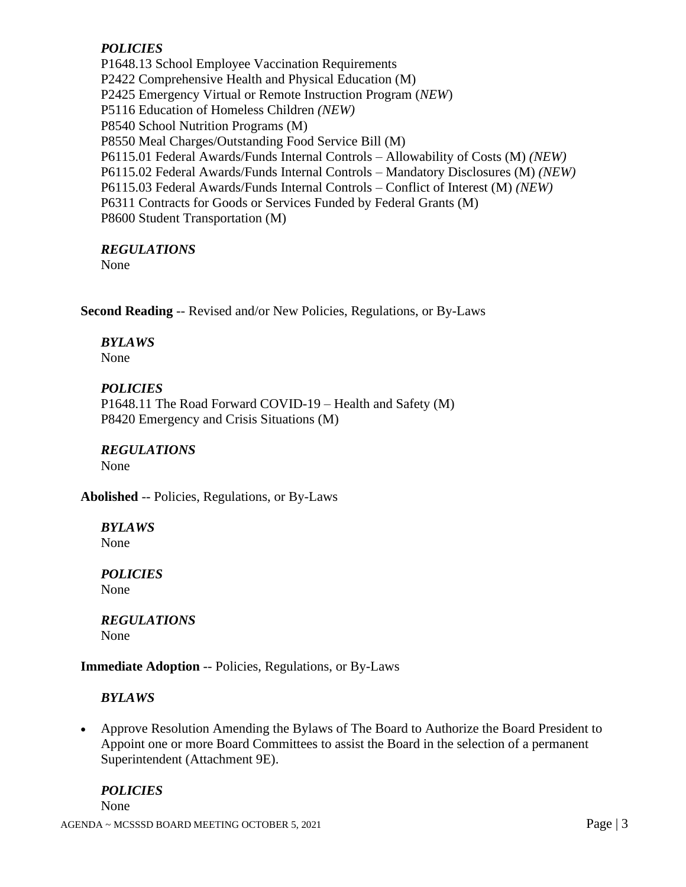# *POLICIES*

P1648.13 School Employee Vaccination Requirements P2422 Comprehensive Health and Physical Education (M) P2425 Emergency Virtual or Remote Instruction Program (*NEW*) P5116 Education of Homeless Children *(NEW)* P8540 School Nutrition Programs (M) P8550 Meal Charges/Outstanding Food Service Bill (M) P6115.01 Federal Awards/Funds Internal Controls – Allowability of Costs (M) *(NEW)* P6115.02 Federal Awards/Funds Internal Controls – Mandatory Disclosures (M) *(NEW)* P6115.03 Federal Awards/Funds Internal Controls – Conflict of Interest (M) *(NEW)* P6311 Contracts for Goods or Services Funded by Federal Grants (M) P8600 Student Transportation (M)

### *REGULATIONS*

None

**Second Reading** -- Revised and/or New Policies, Regulations, or By-Laws

### *BYLAWS*

None

#### *POLICIES*

P1648.11 The Road Forward COVID-19 – Health and Safety (M) P8420 Emergency and Crisis Situations (M)

#### *REGULATIONS* None

**Abolished** -- Policies, Regulations, or By-Laws

*BYLAWS* None

*POLICIES* None

*REGULATIONS* None

**Immediate Adoption** -- Policies, Regulations, or By-Laws

## *BYLAWS*

• Approve Resolution Amending the Bylaws of The Board to Authorize the Board President to Appoint one or more Board Committees to assist the Board in the selection of a permanent Superintendent (Attachment 9E).

## *POLICIES*

None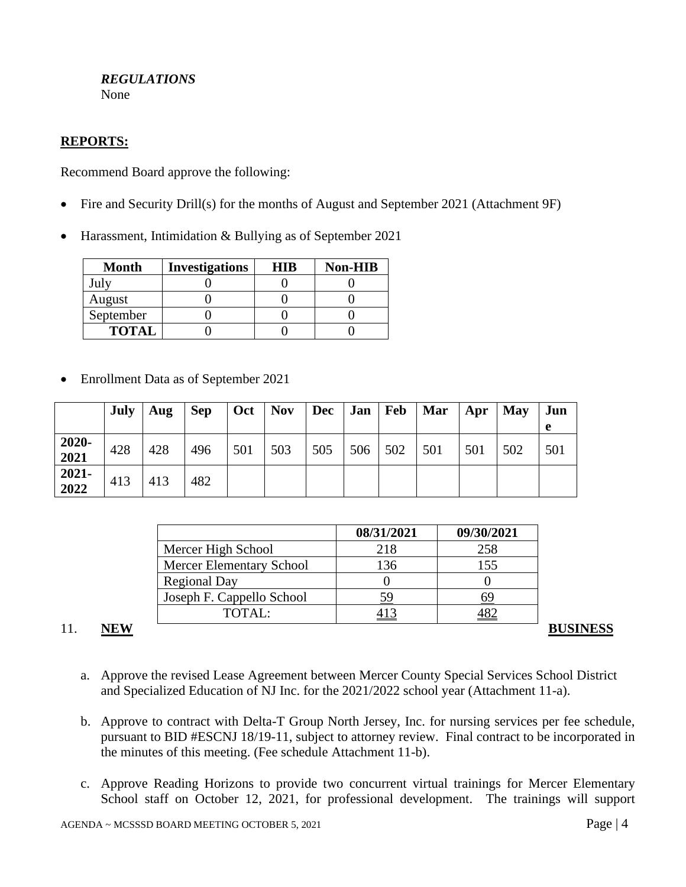#### *REGULATIONS* None

## **REPORTS:**

Recommend Board approve the following:

- Fire and Security Drill(s) for the months of August and September 2021 (Attachment 9F)
- Harassment, Intimidation & Bullying as of September 2021

| <b>Month</b> | <b>Investigations</b> | HIR | <b>Non-HIB</b> |
|--------------|-----------------------|-----|----------------|
| July         |                       |     |                |
| August       |                       |     |                |
| September    |                       |     |                |
| <b>TOTAL</b> |                       |     |                |

• Enrollment Data as of September 2021

|               | <b>July</b> | Aug | <b>Sep</b> | $\vert$ Oct $\vert$ Nov |     | Dec Jan   Feb |         | Mar | $\overline{A}$ pr | <b>May</b> | Jun |
|---------------|-------------|-----|------------|-------------------------|-----|---------------|---------|-----|-------------------|------------|-----|
|               |             |     |            |                         |     |               |         |     |                   |            | e   |
| 2020-<br>2021 | 428         | 428 | 496        | 501                     | 503 | 505           | 506 502 | 501 | 501               | 502        | 501 |
| 2021-<br>2022 | 413         | 413 | 482        |                         |     |               |         |     |                   |            |     |

|                           | 08/31/2021 | 09/30/2021 |
|---------------------------|------------|------------|
| Mercer High School        | 218        | 258        |
| Mercer Elementary School  | 136        | 155        |
| <b>Regional Day</b>       |            |            |
| Joseph F. Cappello School | 59         |            |
| TOTAL:                    |            |            |

## 11. NEW **BUSINESS**

- a. Approve the revised Lease Agreement between Mercer County Special Services School District and Specialized Education of NJ Inc. for the 2021/2022 school year (Attachment 11-a).
- b. Approve to contract with Delta-T Group North Jersey, Inc. for nursing services per fee schedule, pursuant to BID #ESCNJ 18/19-11, subject to attorney review. Final contract to be incorporated in the minutes of this meeting. (Fee schedule Attachment 11-b).
- c. Approve Reading Horizons to provide two concurrent virtual trainings for Mercer Elementary School staff on October 12, 2021, for professional development. The trainings will support